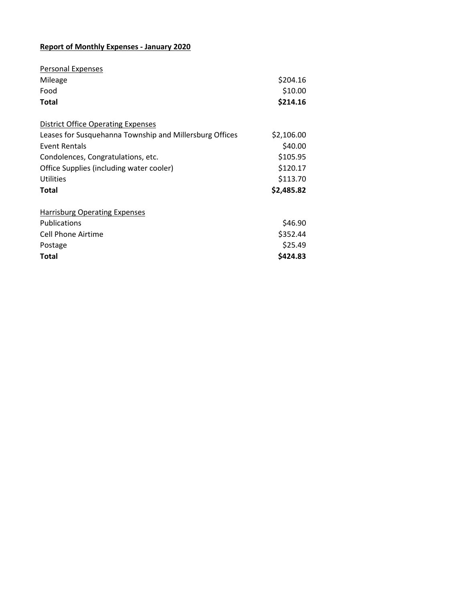## **Report of Monthly Expenses - January 2020**

| <b>Personal Expenses</b>                                |            |
|---------------------------------------------------------|------------|
| Mileage                                                 | \$204.16   |
| Food                                                    | \$10.00    |
| <b>Total</b>                                            | \$214.16   |
| <b>District Office Operating Expenses</b>               |            |
| Leases for Susquehanna Township and Millersburg Offices | \$2,106.00 |
| Event Rentals                                           | \$40.00    |
| Condolences, Congratulations, etc.                      | \$105.95   |
| Office Supplies (including water cooler)                | \$120.17   |
| Utilities                                               | \$113.70   |
| Total                                                   | \$2,485.82 |
| <b>Harrisburg Operating Expenses</b>                    |            |
| <b>Publications</b>                                     | \$46.90    |
| Cell Phone Airtime                                      | \$352.44   |
| Postage                                                 | \$25.49    |
| <b>Total</b>                                            | \$424.83   |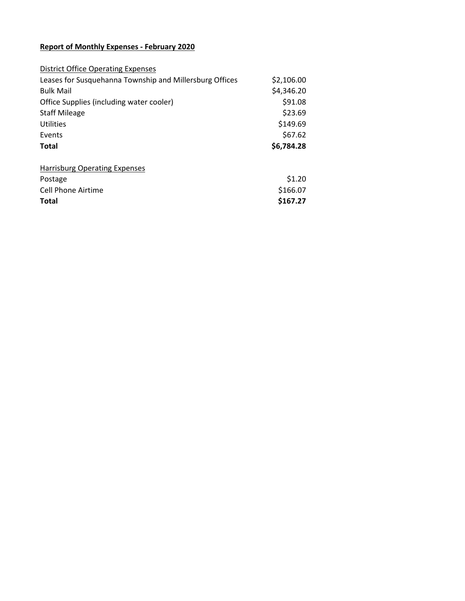## **Report of Monthly Expenses - February 2020**

| <b>District Office Operating Expenses</b>               |            |
|---------------------------------------------------------|------------|
| Leases for Susquehanna Township and Millersburg Offices | \$2,106.00 |
| <b>Bulk Mail</b>                                        | \$4,346.20 |
| Office Supplies (including water cooler)                | \$91.08    |
| <b>Staff Mileage</b>                                    | \$23.69    |
| Utilities                                               | \$149.69   |
| Events                                                  | \$67.62    |
| <b>Total</b>                                            | \$6,784.28 |
| <b>Harrisburg Operating Expenses</b>                    |            |
| Postage                                                 | \$1.20     |
| Cell Phone Airtime                                      | \$166.07   |
| <b>Total</b>                                            | \$167.27   |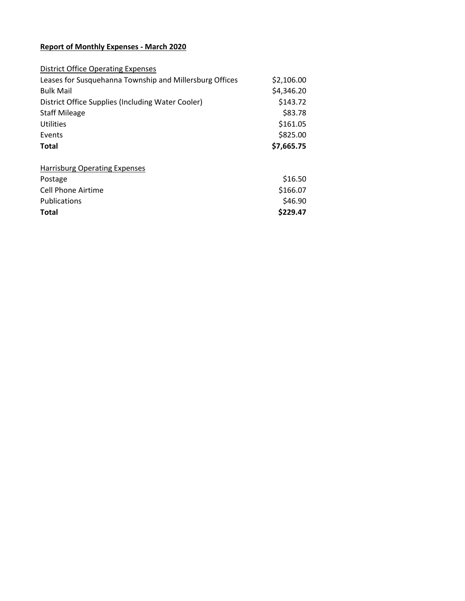## **Report of Monthly Expenses - March 2020**

| <b>District Office Operating Expenses</b>               |            |
|---------------------------------------------------------|------------|
| Leases for Susquehanna Township and Millersburg Offices | \$2,106.00 |
| <b>Bulk Mail</b>                                        | \$4,346.20 |
| District Office Supplies (Including Water Cooler)       | \$143.72   |
| <b>Staff Mileage</b>                                    | \$83.78    |
| Utilities                                               | \$161.05   |
| Events                                                  | \$825.00   |
|                                                         |            |
| Total                                                   | \$7,665.75 |
|                                                         |            |
| <b>Harrisburg Operating Expenses</b>                    |            |
| Postage                                                 | \$16.50    |
| <b>Cell Phone Airtime</b>                               | \$166.07   |
| Publications                                            | \$46.90    |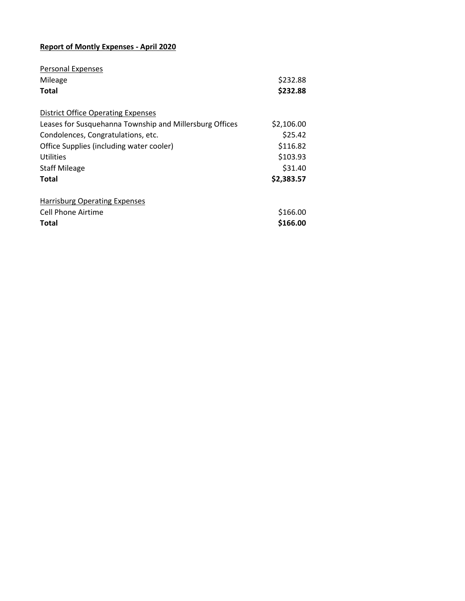## **Report of Montly Expenses - April 2020**

| Personal Expenses                                       |            |
|---------------------------------------------------------|------------|
| Mileage                                                 | \$232.88   |
| <b>Total</b>                                            | \$232.88   |
| <b>District Office Operating Expenses</b>               |            |
| Leases for Susquehanna Township and Millersburg Offices | \$2,106.00 |
| Condolences, Congratulations, etc.                      | \$25.42    |
| Office Supplies (including water cooler)                | \$116.82   |
| Utilities                                               | \$103.93   |
| <b>Staff Mileage</b>                                    | \$31.40    |
| Total                                                   | \$2,383.57 |
| <b>Harrisburg Operating Expenses</b>                    |            |
| Cell Phone Airtime                                      | \$166.00   |
| <b>Total</b>                                            | \$166.00   |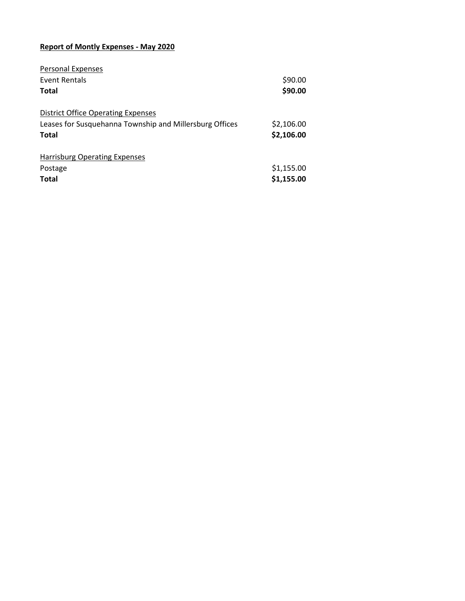## **Report of Montly Expenses - May 2020**

| Personal Expenses                                       |            |
|---------------------------------------------------------|------------|
| Event Rentals                                           | \$90.00    |
| Total                                                   | \$90.00    |
| <b>District Office Operating Expenses</b>               |            |
| Leases for Susquehanna Township and Millersburg Offices | \$2,106.00 |
| Total                                                   | \$2,106.00 |
| <b>Harrisburg Operating Expenses</b>                    |            |
| Postage                                                 | \$1,155.00 |
| <b>Total</b>                                            | \$1,155.00 |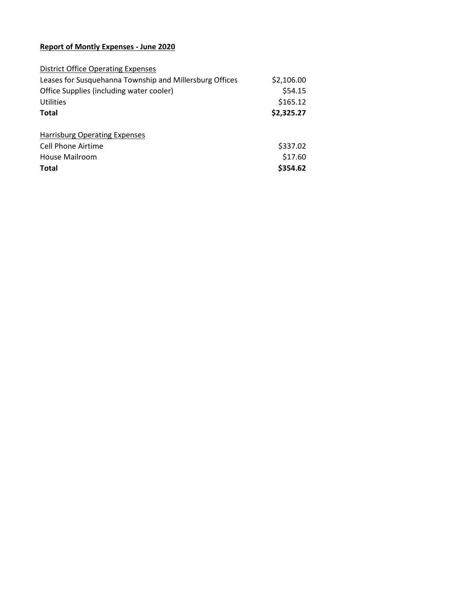## **Report of Montly Expenses - June 2020**

| <b>District Office Operating Expenses</b>               |            |
|---------------------------------------------------------|------------|
| Leases for Susquehanna Township and Millersburg Offices | \$2,106.00 |
| Office Supplies (including water cooler)                | \$54.15    |
| Utilities                                               | \$165.12   |
| <b>Total</b>                                            | \$2,325.27 |
| <b>Harrisburg Operating Expenses</b>                    |            |
| Cell Phone Airtime                                      | \$337.02   |
| House Mailroom                                          | \$17.60    |
| <b>Total</b>                                            | \$354.62   |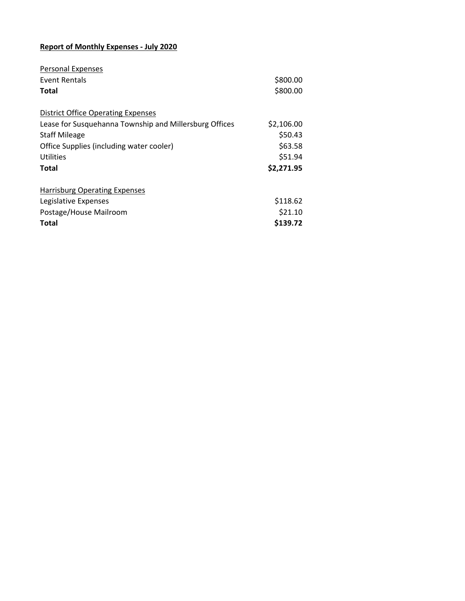## **Report of Monthly Expenses - July 2020**

| <b>Personal Expenses</b>                               |            |
|--------------------------------------------------------|------------|
| Event Rentals                                          | \$800.00   |
| <b>Total</b>                                           | \$800.00   |
| <b>District Office Operating Expenses</b>              |            |
| Lease for Susquehanna Township and Millersburg Offices | \$2,106.00 |
| <b>Staff Mileage</b>                                   | \$50.43    |
| Office Supplies (including water cooler)               | \$63.58    |
| Utilities                                              | \$51.94    |
| <b>Total</b>                                           | \$2,271.95 |
| <b>Harrisburg Operating Expenses</b>                   |            |
| Legislative Expenses                                   | \$118.62   |
| Postage/House Mailroom                                 | \$21.10    |
| <b>Total</b>                                           | \$139.72   |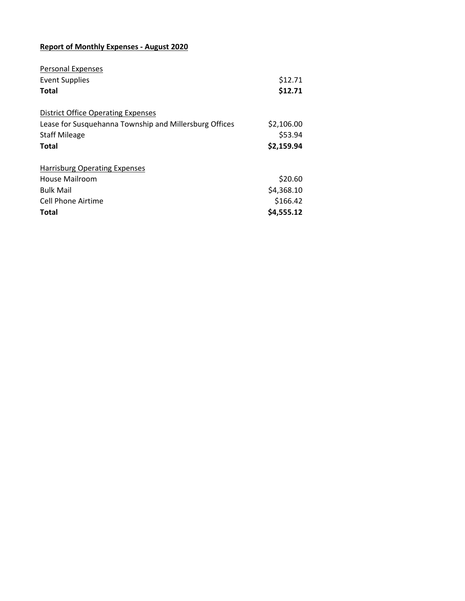## **Report of Monthly Expenses - August 2020**

| <b>Personal Expenses</b>                               |            |
|--------------------------------------------------------|------------|
| <b>Event Supplies</b>                                  | \$12.71    |
| <b>Total</b>                                           | \$12.71    |
| <b>District Office Operating Expenses</b>              |            |
| Lease for Susquehanna Township and Millersburg Offices | \$2,106.00 |
| <b>Staff Mileage</b>                                   | \$53.94    |
| <b>Total</b>                                           | \$2,159.94 |
| <b>Harrisburg Operating Expenses</b>                   |            |
| House Mailroom                                         | \$20.60    |
| <b>Bulk Mail</b>                                       | \$4,368.10 |
| <b>Cell Phone Airtime</b>                              | \$166.42   |
| <b>Total</b>                                           | \$4,555.12 |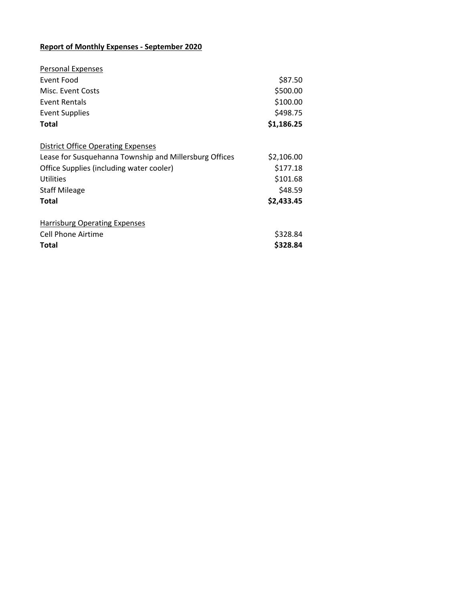## **Report of Monthly Expenses - September 2020**

| \$87.50    |
|------------|
| \$500.00   |
| \$100.00   |
| \$498.75   |
| \$1,186.25 |
|            |
| \$2,106.00 |
| \$177.18   |
| \$101.68   |
| \$48.59    |
| \$2,433.45 |
|            |
| \$328.84   |
| \$328.84   |
|            |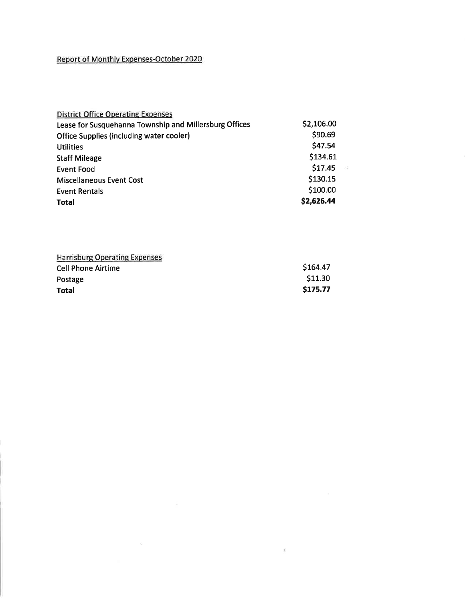# Report of Monthlv Expenses-October 2020

| <b>District Office Operating Expenses</b>              |               |
|--------------------------------------------------------|---------------|
| Lease for Susquehanna Township and Millersburg Offices | \$2,106.00    |
| <b>Office Supplies (including water cooler)</b>        | \$90.69       |
| <b>Utilities</b>                                       | \$47.54       |
| <b>Staff Mileage</b>                                   | \$134.61      |
| Event Food                                             | \$17.45<br>22 |
| <b>Miscellaneous Event Cost</b>                        | \$130.15      |
| <b>Event Rentals</b>                                   | \$100.00      |
| <b>Total</b>                                           | \$2,626.44    |

| <b>Harrisburg Operating Expenses</b> |          |
|--------------------------------------|----------|
| <b>Cell Phone Airtime</b>            | \$164.47 |
| Postage                              | \$11.30  |
| <b>Total</b>                         | \$175.77 |

 $\mathbb{R}^n$  . The  $\mathbb{R}^n$ 

 $\mathbb{E}$  . The state  $\mathbb{E}$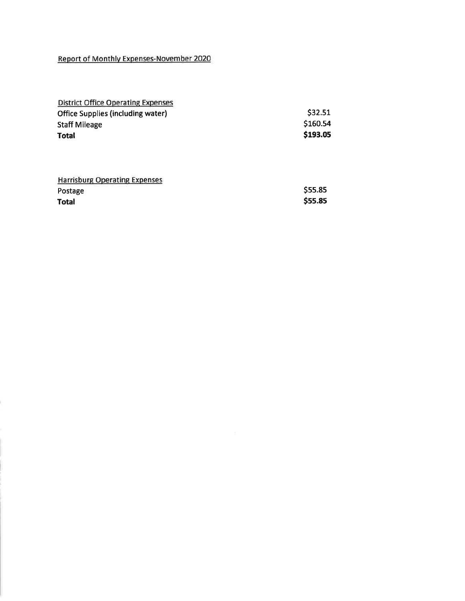#### Report of Monthlv Expenses-November 2020

| <b>District Office Operating Expenses</b> |          |
|-------------------------------------------|----------|
| <b>Office Supplies (including water)</b>  | \$32.51  |
| <b>Staff Mileage</b>                      | \$160.54 |
| <b>Total</b>                              | \$193.05 |
|                                           |          |

| <b>Harrisburg Operating Expenses</b> |         |
|--------------------------------------|---------|
| Postage                              | \$55.85 |
| Total                                | \$55.85 |